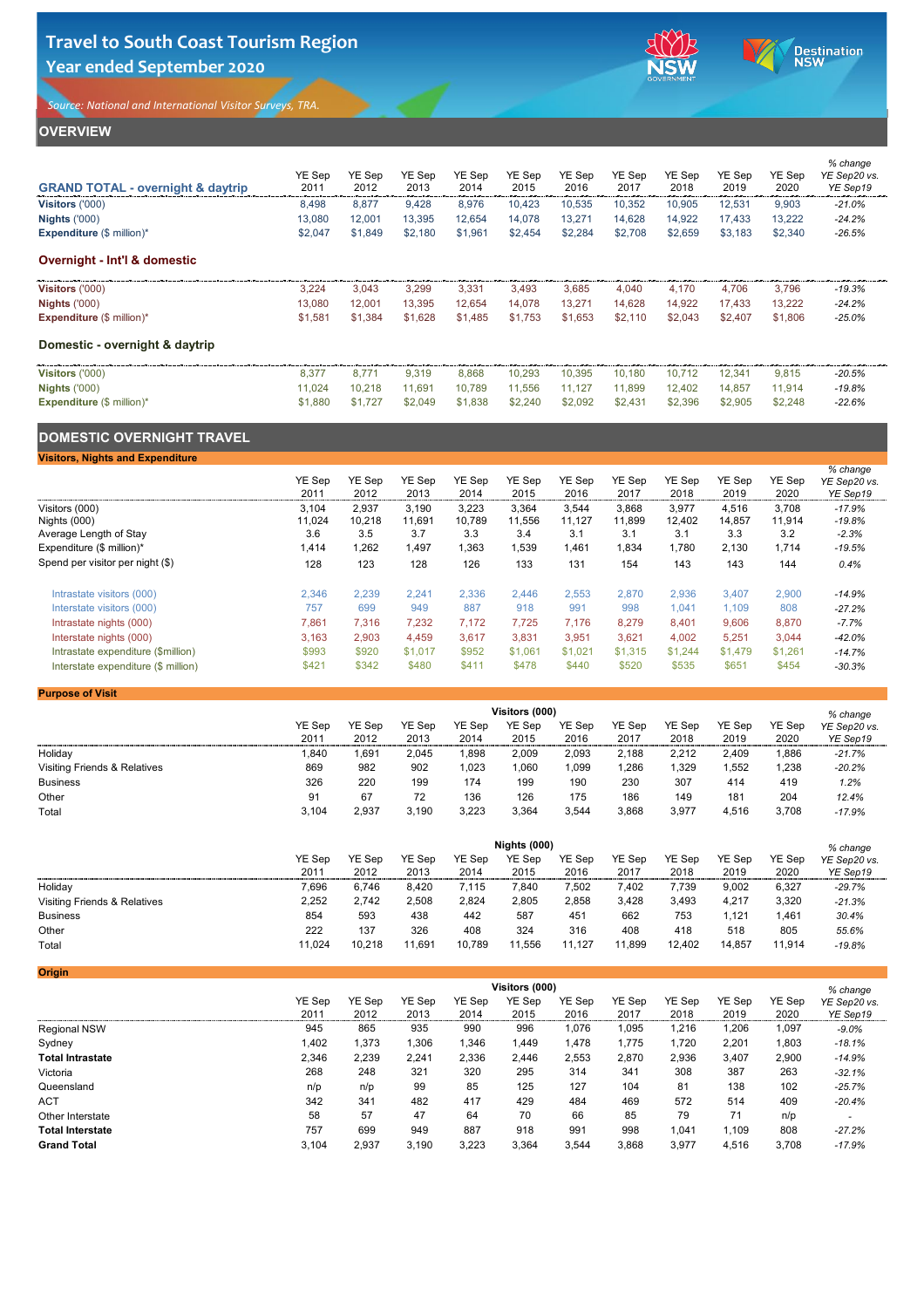## **OVERVIEW**

| <b>GRAND TOTAL - overnight &amp; daytrip</b> | YE Sep<br>2011 | <b>YE Sep</b><br>2012 | <b>YE Sep</b><br>2013 | YE Sep<br>2014 | <b>YE Sep</b><br>2015 | <b>YE Sep</b><br>2016 | <b>YE Sep</b><br>2017 | <b>YE Sep</b><br>2018 | YE Sep<br>2019 | YE Sep<br>2020 | % change<br>YE Sep20 vs.<br>YE Sep19 |
|----------------------------------------------|----------------|-----------------------|-----------------------|----------------|-----------------------|-----------------------|-----------------------|-----------------------|----------------|----------------|--------------------------------------|
| Visitors ('000)                              | 8,498          | 8,877                 | 9,428                 | 8,976          | 10,423                | 10,535                | 10,352                | 10,905                | 12,531         | 9,903          | $-21.0\%$                            |
| <b>Nights ('000)</b>                         | 13,080         | 12,001                | 13,395                | 12,654         | 14,078                | 13,271                | 14,628                | 14,922                | 17,433         | 13,222         | $-24.2%$                             |
| <b>Expenditure</b> $(\$ \text{ million})^*$  | \$2,047        | \$1,849               | \$2,180               | \$1,961        | \$2,454               | \$2,284               | \$2,708               | \$2,659               | \$3,183        | \$2,340        | $-26.5%$                             |
| <b>Overnight - Int'l &amp; domestic</b>      |                |                       |                       |                |                       |                       |                       |                       |                |                |                                      |
| <b>Visitors ('000)</b>                       | 3,224          | 3,043                 | 3,299                 | 3,331          | 3,493                 | 3,685                 | 4,040                 | 4,170                 | 4,706          | 3,796          | $-19.3%$                             |
| <b>Nights ('000)</b>                         | 13,080         | 12,001                | 13,395                | 12,654         | 14,078                | 13,271                | 14,628                | 14,922                | 17,433         | 13,222         | $-24.2%$                             |
| <b>Expenditure</b> $(\$ \text{ million})^*$  | \$1,581        | \$1,384               | \$1,628               | \$1,485        | \$1,753               | \$1,653               | \$2,110               | \$2,043               | \$2,407        | \$1,806        | $-25.0%$                             |
| Domestic - overnight & daytrip               |                |                       |                       |                |                       |                       |                       |                       |                |                |                                      |
| <b>Visitors ('000)</b>                       | 8,377          | 8,771                 | 9,319                 | 8,868          | 10,293                | 10,395                | 10,180                | 10,712                | 12,341         | 9,815          | $-20.5%$                             |
| <b>Nights ('000)</b>                         | 11,024         | 10,218                | 11,691                | 10,789         | 11,556                | 11,127                | 11,899                | 12,402                | 14,857         | 11,914         | $-19.8%$                             |
| <b>Expenditure (\$ million)*</b>             | \$1,880        | \$1,727               | \$2,049               | \$1,838        | \$2,240               | \$2,092               | \$2,431               | \$2,396               | \$2,905        | \$2,248        | $-22.6%$                             |
| <b>DOMESTIC OVERNIGHT TRAVEL</b>             |                |                       |                       |                |                       |                       |                       |                       |                |                |                                      |
| <b>Visitors, Nights and Expenditure</b>      |                |                       |                       |                |                       |                       |                       |                       |                |                |                                      |
|                                              | YE Sep<br>2011 | YE Sep<br>2012        | YE Sep<br>2013        | YE Sep<br>2014 | YE Sep<br>2015        | YE Sep<br>2016        | YE Sep<br>2017        | YE Sep<br>2018        | YE Sep<br>2019 | YE Sep<br>2020 | % change<br>YE Sep20 vs.<br>YE Sep19 |
| Visitors (000)                               | 3,104          | 2,937                 | 3,190                 | 3,223          | 3,364                 | 3,544                 | 3,868                 | 3,977                 | 4,516          | 3,708          | $-17.9%$                             |
| Nights (000)                                 | 11,024         | 10,218                | 11,691                | 10,789         | 11,556                | 11,127                | 11,899                | 12,402                | 14,857         | 11,914         | $-19.8%$                             |
| Average Length of Stay                       | 3.6            | 3.5                   | 3.7                   | 3.3            | 3.4                   | 3.1                   | 3.1                   | 3.1                   | 3.3            | 3.2            | $-2.3%$                              |

| Expenditure $(\$$ million)*         | ,414  | ,262  | ,497    | ,363  | ,539    | ,461    | 834,ا   | 780,    | 2,130   | 1,714   | $-19.5%$ |
|-------------------------------------|-------|-------|---------|-------|---------|---------|---------|---------|---------|---------|----------|
| Spend per visitor per night (\$)    | 128   | 123   | 128     | 126   | 133     | 131     | 154     | 143     | 143     | 144     | 0.4%     |
| Intrastate visitors (000)           | 2,346 | 2,239 | 2,241   | 2,336 | 2,446   | 2,553   | 2,870   | 2,936   | 3,407   | 2,900   | $-14.9%$ |
| Interstate visitors (000)           | 757   | 699   | 949     | 887   | 918     | 991     | 998     | 1,041   | 1,109   | 808     | $-27.2%$ |
| Intrastate nights (000)             | 7,861 | 316   | 7,232   | 7.172 | 7,725   | 7,176   | 8,279   | 8,401   | 9,606   | 8,870   | $-7.7\%$ |
| Interstate nights (000)             | 3,163 | 2,903 | 4,459   | 3,617 | 3,831   | 3,951   | 3,621   | 4,002   | 5,251   | 3,044   | $-42.0%$ |
| Intrastate expenditure (\$million)  | \$993 | \$920 | \$1,017 | \$952 | \$1,061 | \$1,021 | \$1,315 | \$1,244 | \$1,479 | \$1,261 | $-14.7%$ |
| Interstate expenditure (\$ million) | \$421 | \$342 | \$480   | \$411 | \$478   | \$440   | \$520   | \$535   | \$651   | \$454   | $-30.3%$ |

#### **Purpose of Visit**

|                                         | <b>Visitors (000)</b> |               |               |               |               |               |               |               |               |               | $%$ change   |  |
|-----------------------------------------|-----------------------|---------------|---------------|---------------|---------------|---------------|---------------|---------------|---------------|---------------|--------------|--|
|                                         | <b>YE Sep</b>         | <b>YE Sep</b> | <b>YE Sep</b> | <b>YE Sep</b> | <b>YE Sep</b> | <b>YE Sep</b> | <b>YE Sep</b> | <b>YE Sep</b> | <b>YE Sep</b> | <b>YE Sep</b> | YE Sep20 vs. |  |
|                                         | 2011                  | 2012          | 2013          | 2014          | 2015          | 2016          | 2017          | 2018          | 2019          | 2020          | YE Sep19     |  |
| Holiday                                 | ,840                  | $,69^{\circ}$ | 2,045         | ,898          | 2,009         | 2,093         | 2,188         | 2,212         | 2,409         | ,886          | $-21.7%$     |  |
| <b>Visiting Friends &amp; Relatives</b> | 869                   | 982           | 902           | 1,023         | 1,060         | 1,099         | ,286          | ,329          | ,552          | ,238          | $-20.2%$     |  |
| <b>Business</b>                         | 326                   | 220           | 199           | 174           | 199           | 190           | 230           | 307           | 414           | 419           | 1.2%         |  |
| Other                                   | 91                    | 67            | 72            | 136           | 126           | 175           | 186           | 149           | 181           | 204           | 12.4%        |  |
| Total                                   | 3,104                 | 2,937         | 3,190         | 3,223         | 3,364         | 3,544         | 3,868         | 3,977         | 4,516         | 3,708         | $-17.9%$     |  |

|                                         | <b>Nights (000)</b> |               |               |               |               |               |               |               |               |               | % change     |  |
|-----------------------------------------|---------------------|---------------|---------------|---------------|---------------|---------------|---------------|---------------|---------------|---------------|--------------|--|
|                                         | <b>YE Sep</b>       | <b>YE Sep</b> | <b>YE Sep</b> | <b>YE Sep</b> | <b>YE Sep</b> | <b>YE Sep</b> | <b>YE Sep</b> | <b>YE Sep</b> | <b>YE Sep</b> | <b>YE Sep</b> | YE Sep20 vs. |  |
|                                         | 2011                | 2012          | 2013          | 2014          | 2015          | 2016          | 2017          | 2018          | 2019          | 2020          | YE Sep19     |  |
| Holiday                                 | 7,696               | 6,746         | 8,420         | 7,115         | 7,840         | 7,502         | .402          | 7,739         | 9,002         | 6,327         | $-29.7%$     |  |
| <b>Visiting Friends &amp; Relatives</b> | 2,252               | 2,742         | 2,508         | 2,824         | 2,805         | 2,858         | 3,428         | 3,493         | 4,217         | 3,320         | $-21.3%$     |  |
| <b>Business</b>                         | 854                 | 593           | 438           | 442           | 587           | 451           | 662           | 753           | ,121          | .461          | 30.4%        |  |
| Other                                   | 222                 | 137           | 326           | 408           | 324           | 316           | 408           | 418           | 518           | 805           | 55.6%        |  |
| <b>Total</b>                            | 11,024              | 10,218        | 1,691         | 10,789        | 11,556        | 11,127        | 11,899        | 12,402        | 14,857        | 11,914        | $-19.8%$     |  |

| Origin                  |               |               |               |               |                |               |               |               |               |        |              |
|-------------------------|---------------|---------------|---------------|---------------|----------------|---------------|---------------|---------------|---------------|--------|--------------|
|                         |               |               |               |               | Visitors (000) |               |               |               |               |        | % change     |
|                         | <b>YE Sep</b> | <b>YE Sep</b> | <b>YE Sep</b> | <b>YE Sep</b> | <b>YE Sep</b>  | <b>YE Sep</b> | <b>YE Sep</b> | <b>YE Sep</b> | <b>YE Sep</b> | YE Sep | YE Sep20 vs. |
|                         | 2011          | 2012          | 2013          | 2014          | 2015           | 2016          | 2017          | 2018          | 2019          | 2020   | YE Sep19     |
| <b>Regional NSW</b>     | 945           | 865           | 935           | 990           | 996            | ,076          | 1,095         | l,216         | ,206          | 1,097  | $-9.0\%$     |
| Sydney                  | 1,402         | 1,373         | 1,306         | 1,346         | 1,449          | ,478          | 1,775         | 1,720         | 2,201         | 1,803  | $-18.1%$     |
| <b>Total Intrastate</b> | 2,346         | 2,239         | 2,241         | 2,336         | 2,446          | 2,553         | 2,870         | 2,936         | 3,407         | 2,900  | $-14.9%$     |
| Victoria                | 268           | 248           | 321           | 320           | 295            | 314           | 341           | 308           | 387           | 263    | $-32.1%$     |
| Queensland              | n/p           | n/p           | 99            | 85            | 125            | 127           | 104           | 81            | 138           | 102    | $-25.7%$     |
| <b>ACT</b>              | 342           | 341           | 482           | 417           | 429            | 484           | 469           | 572           | 514           | 409    | $-20.4%$     |
| Other Interstate        | 58            | 57            | 47            | 64            | 70             | 66            | 85            | 79            | 71            | n/p    |              |
| <b>Total Interstate</b> | 757           | 699           | 949           | 887           | 918            | 991           | 998           | 1,041         | 1,109         | 808    | $-27.2%$     |
| <b>Grand Total</b>      | 3,104         | 2,937         | 3,190         | 3,223         | 3,364          | 3,544         | 3,868         | 3,977         | 4,516         | 3,708  | $-17.9%$     |

# **Travel to South Coast Tourism Region Year ended September 2020**



Destination

*Source: National and International Visitor Surveys, TRA.*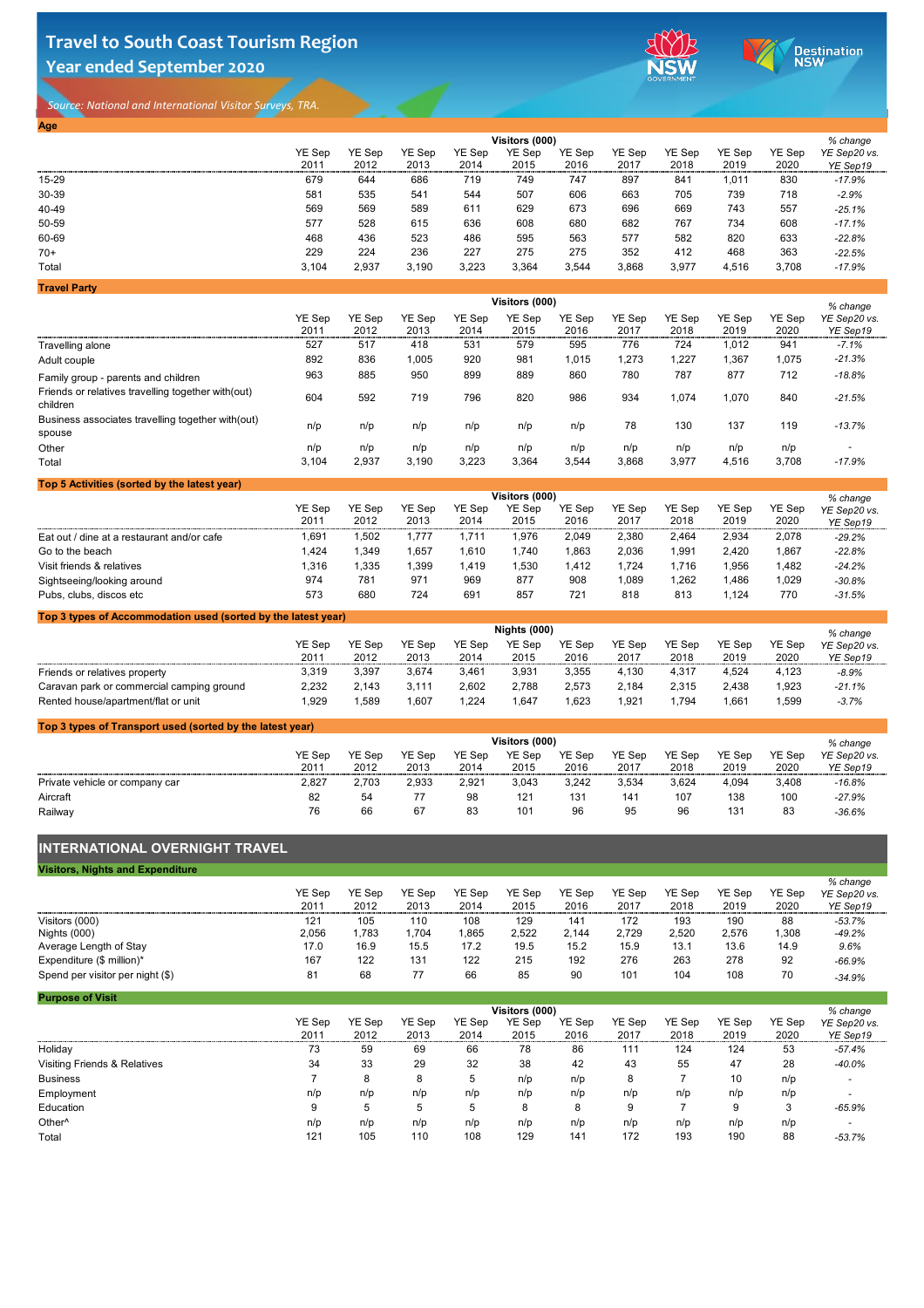# **Travel to South Coast Tourism Region Year ended September 2020**



Destination

*Source: National and International Visitor Surveys, TRA.* 

**Travel Party**

### **Top 3 types of Accommodation used (sorted by the latest year)**

| <b>Age</b> |               |               |               |               |                |               |               |               |               |               |              |
|------------|---------------|---------------|---------------|---------------|----------------|---------------|---------------|---------------|---------------|---------------|--------------|
|            |               |               |               |               | Visitors (000) |               |               |               |               |               | % change     |
|            | <b>YE Sep</b> | <b>YE Sep</b> | <b>YE Sep</b> | <b>YE Sep</b> | <b>YE Sep</b>  | <b>YE Sep</b> | <b>YE Sep</b> | <b>YE Sep</b> | <b>YE Sep</b> | <b>YE Sep</b> | YE Sep20 vs. |
|            | 2011          | 2012          | 2013          | 2014          | 2015           | 2016          | 2017          | 2018          | 2019          | 2020          | YE Sep19     |
| $15 - 29$  | 679           | 644           | 686           | 719           | 749            | 747           | 897           | 841           | 1,011         | 830           | $-17.9%$     |
| 30-39      | 581           | 535           | 541           | 544           | 507            | 606           | 663           | 705           | 739           | 718           | $-2.9%$      |
| 40-49      | 569           | 569           | 589           | 611           | 629            | 673           | 696           | 669           | 743           | 557           | $-25.1%$     |
| 50-59      | 577           | 528           | 615           | 636           | 608            | 680           | 682           | 767           | 734           | 608           | $-17.1%$     |
| 60-69      | 468           | 436           | 523           | 486           | 595            | 563           | 577           | 582           | 820           | 633           | $-22.8%$     |
| $70+$      | 229           | 224           | 236           | 227           | 275            | 275           | 352           | 412           | 468           | 363           | $-22.5%$     |
| Total      | 3,104         | 2,937         | 3,190         | 3,223         | 3,364          | 3,544         | 3,868         | 3,977         | 4,516         | 3,708         | $-17.9%$     |

|                                                                 | Visitors (000)                                                                                                                                                                                                                                                                                                 |                       |                       |                       |                       |                       |                       |                       |                       |                       | % change                 |
|-----------------------------------------------------------------|----------------------------------------------------------------------------------------------------------------------------------------------------------------------------------------------------------------------------------------------------------------------------------------------------------------|-----------------------|-----------------------|-----------------------|-----------------------|-----------------------|-----------------------|-----------------------|-----------------------|-----------------------|--------------------------|
|                                                                 | <b>YE Sep</b><br>2011                                                                                                                                                                                                                                                                                          | <b>YE Sep</b><br>2012 | <b>YE Sep</b><br>2013 | <b>YE Sep</b><br>2014 | <b>YE Sep</b><br>2015 | <b>YE Sep</b><br>2016 | <b>YE Sep</b><br>2017 | <b>YE Sep</b><br>2018 | <b>YE Sep</b><br>2019 | <b>YE Sep</b><br>2020 | YE Sep20 vs.<br>YE Sep19 |
| <b>Travelling alone</b>                                         | 527                                                                                                                                                                                                                                                                                                            | 517                   | 418                   | 531                   | 579                   | 595                   | 776                   | 724                   | 1,012                 | 941                   | $-7.1%$                  |
| Adult couple                                                    | 892                                                                                                                                                                                                                                                                                                            | 836                   | 1,005                 | 920                   | 981                   | 1,015                 | 1,273                 | 1,227                 | 1,367                 | 1,075                 | $-21.3%$                 |
| Family group - parents and children                             | 963                                                                                                                                                                                                                                                                                                            | 885                   | 950                   | 899                   | 889                   | 860                   | 780                   | 787                   | 877                   | 712                   | $-18.8%$                 |
| Friends or relatives travelling together with (out)<br>children | 604                                                                                                                                                                                                                                                                                                            | 592                   | 719                   | 796                   | 820                   | 986                   | 934                   | 1,074                 | 1,070                 | 840                   | $-21.5%$                 |
| Business associates travelling together with (out)<br>spouse    | n/p                                                                                                                                                                                                                                                                                                            | n/p                   | n/p                   | n/p                   | n/p                   | n/p                   | 78                    | 130                   | 137                   | 119                   | $-13.7%$                 |
| Other                                                           | n/p                                                                                                                                                                                                                                                                                                            | n/p                   | n/p                   | n/p                   | n/p                   | n/p                   | n/p                   | n/p                   | n/p                   | n/p                   | $\blacksquare$           |
| Total                                                           | 3,104                                                                                                                                                                                                                                                                                                          | 2,937                 | 3,190                 | 3,223                 | 3,364                 | 3,544                 | 3,868                 | 3,977                 | 4,516                 | 3,708                 | $-17.9%$                 |
| Top 5 Activities (sorted by the latest year)                    |                                                                                                                                                                                                                                                                                                                |                       |                       |                       |                       |                       |                       |                       |                       |                       |                          |
|                                                                 | Visitors (000)<br>$V\Gamma$ $C_{\text{max}}$<br>$V\Gamma$ $C_{AB}$<br>$V\Gamma$ $C_{\text{max}}$<br>$V\Gamma$ $C_{\text{max}}$<br>$V\Gamma$ $C_{\text{max}}$<br>$V\Gamma$ $C_{\text{max}}$<br>$V\Gamma$ $C_{\text{max}}$<br>$V\Gamma$ $C_{\text{max}}$<br>$V\Gamma$ $C_{\rm em}$<br>$V\Gamma$ $C_{\text{max}}$ |                       |                       |                       |                       |                       |                       |                       |                       |                       |                          |

### **Top 3 types of Transport used (sorted by the latest year)**

|                                            | .             |        |               |               |               |               |               |               | 70 VIIUITYV   |        |              |
|--------------------------------------------|---------------|--------|---------------|---------------|---------------|---------------|---------------|---------------|---------------|--------|--------------|
|                                            | <b>YE Sep</b> | YE Sep | <b>YE Sep</b> | <b>YE Sep</b> | <b>YE Sep</b> | <b>YE Sep</b> | <b>YE Sep</b> | <b>YE Sep</b> | <b>YE Sep</b> | YE Sep | YE Sep20 vs. |
|                                            | 2011          | 2012   | 2013          | 2014          | 2015          | 2016          | 2017          | 2018          | 2019          | 2020   | YE Sep19     |
| Eat out / dine at a restaurant and/or cafe | 691,ا         | ,502   | .777          | .711          | 1,976         | 2,049         | 2,380         | 2,464         | 2,934         | 2,078  | $-29.2%$     |
| Go to the beach                            | 1,424         | ,349   | ,657          | ,610          | ,740          | .863          | 2,036         | ,991          | 2,420         | 1,867  | $-22.8%$     |
| Visit friends & relatives                  | 1,316         | ,335   | ,399          | ,419          | ,530          | ,412          | ,724          | . 716.،       | ,956          | 1,482  | $-24.2%$     |
| Sightseeing/looking around                 | 974           | 781    | 971           | 969           | 877           | 908           | ,089          | ,262          | ,486          | 1,029  | $-30.8%$     |
| Pubs, clubs, discos etc                    | 573           | 680    | 724           | 691           | 857           | 721           | 818           | 813           | ,124          | 770    | $-31.5%$     |
|                                            |               |        |               |               |               |               |               |               |               |        |              |

## **INTERNATIONAL OVERNIGHT TRAVEL**

|                                           | <b>Nights (000)</b> |               |               |        |               |        |               |        |               |        | $%$ change   |  |
|-------------------------------------------|---------------------|---------------|---------------|--------|---------------|--------|---------------|--------|---------------|--------|--------------|--|
|                                           | <b>YE Sep</b>       | <b>YE Sep</b> | <b>YE Sep</b> | YE Sep | <b>YE Sep</b> | YE Sep | <b>YE Sep</b> | YE Sep | <b>YE Sep</b> | YE Sep | YE Sep20 vs. |  |
|                                           | 2011                | 2012          | 2013          | 2014   | 2015          | 2016   | 2017          | 2018   | 2019          | 2020   | YE Sep19     |  |
| Friends or relatives property             | 3,319               | 3,397         | 3,674         | 3,461  | 3,931         | 3,355  | 4,130         | 4,317  | 4,524         | 4,123  | $-8.9%$      |  |
| Caravan park or commercial camping ground | 2,232               | 2.143         | 3.111         | 2,602  | 2,788         | 2,573  | 2,184         | 2,315  | 2,438         | 1,923  | $-21.1%$     |  |
| Rented house/apartment/flat or unit       | ,929                | ,589          | ,607          | ,224   | 1,647         | .623   | 1,921         | .794   | .661          | 1,599  | $-3.7%$      |  |

| <b>Visitors, Nights and Expenditure</b> |               |               |               |               |               |               |               |               |               |        |              |
|-----------------------------------------|---------------|---------------|---------------|---------------|---------------|---------------|---------------|---------------|---------------|--------|--------------|
|                                         |               |               |               |               |               |               |               |               |               |        | % change     |
|                                         | <b>YE Sep</b> | <b>YE Sep</b> | <b>YE Sep</b> | <b>YE Sep</b> | <b>YE Sep</b> | <b>YE Sep</b> | <b>YE Sep</b> | <b>YE Sep</b> | <b>YE Sep</b> | YE Sep | YE Sep20 vs. |
|                                         | 2011          | 2012          | 2013          | 2014          | 2015          | 2016          | 2017          | 2018          | 2019          | 2020   | YE Sep19     |
| Visitors (000)                          | 121           | 105           | 110           | 108           | 129           | 141           | 172           | 193           | 190           | 88     | $-53.7%$     |
| Nights (000)                            | 2,056         | 1,783         | ,704          | 865,          | 2,522         | 2,144         | 2,729         | 2,520         | 2,576         | 1,308  | $-49.2%$     |
| Average Length of Stay                  | 17.0          | 16.9          | 15.5          | 17.2          | 19.5          | 15.2          | 15.9          | 13.1          | 13.6          | 14.9   | 9.6%         |
| Expenditure $(\$$ million)*             | 167           | 122           | 131           | 122           | 215           | 192           | 276           | 263           | 278           | 92     | $-66.9%$     |
| Spend per visitor per night (\$)        | 81            | 68            | 77            | 66            | 85            | 90            | 101           | 104           | 108           | 70     | $-34.9%$     |

|                                | Visitors (000) |               |               |               |               |               |               |               |               |        | % change     |
|--------------------------------|----------------|---------------|---------------|---------------|---------------|---------------|---------------|---------------|---------------|--------|--------------|
|                                | <b>YE Sep</b>  | <b>YE Sep</b> | <b>YE Sep</b> | <b>YE Sep</b> | <b>YE Sep</b> | <b>YE Sep</b> | <b>YE Sep</b> | <b>YE Sep</b> | <b>YE Sep</b> | YE Sep | YE Sep20 vs. |
|                                | 2011           | 2012          | 2013          | 2014          | 2015          | 2016          | 2017          | 2018          | 2019          | 2020   | YE Sep19     |
| Private vehicle or company car | 2,827          | 2,703         | 2,933         | 2,921         | 3,043         | 3,242         | 3,534         | 3,624         | 4,094         | 3,408  | $-16.8%$     |
| <b>Aircraft</b>                | 82             | 54            | 77            | 98            | 121           | 131           | 141           | 107           | 138           | 100    | $-27.9%$     |
| Railway                        | 76             | 66            | 67            | 83            | 101           | 96            | 95            | 96            | 131           | 83     | $-36.6%$     |

| <b>Purpose of Visit</b>                 |               |               |               |               |                |               |               |               |               |               |              |
|-----------------------------------------|---------------|---------------|---------------|---------------|----------------|---------------|---------------|---------------|---------------|---------------|--------------|
|                                         |               |               |               |               | Visitors (000) |               |               |               |               |               | % change     |
|                                         | <b>YE Sep</b> | <b>YE Sep</b> | <b>YE Sep</b> | <b>YE Sep</b> | <b>YE Sep</b>  | <b>YE Sep</b> | <b>YE Sep</b> | <b>YE Sep</b> | <b>YE Sep</b> | <b>YE Sep</b> | YE Sep20 vs. |
|                                         | 2011          | 2012          | 2013          | 2014          | 2015           | 2016          | 2017          | 2018          | 2019          | 2020          | YE Sep19     |
| Holiday                                 | 73            | 59            | 69            | 66            | 78             | 86            | 111           | 124           | 124           | 53            | -57.4%       |
| <b>Visiting Friends &amp; Relatives</b> | 34            | 33            | 29            | 32            | 38             | 42            | 43            | 55            | 47            | 28            | $-40.0\%$    |
| <b>Business</b>                         |               | 8             | 8             | 5             | n/p            | n/p           | 8             |               | 10            | n/p           |              |
| Employment                              | n/p           | n/p           | n/p           | n/p           | n/p            | n/p           | n/p           | n/p           | n/p           | n/p           |              |
| <b>Education</b>                        | 9             | $\mathbf b$   | .5            | 5             | 8              | 8             | 9             |               | 9             | 3             | $-65.9%$     |
| Other <sup>^</sup>                      | n/p           | n/p           | n/p           | n/p           | n/p            | n/p           | n/p           | n/p           | n/p           | n/p           |              |
| Total                                   | 121           | 105           | 110           | 108           | 129            | 141           | 172           | 193           | 190           | 88            | $-53.7%$     |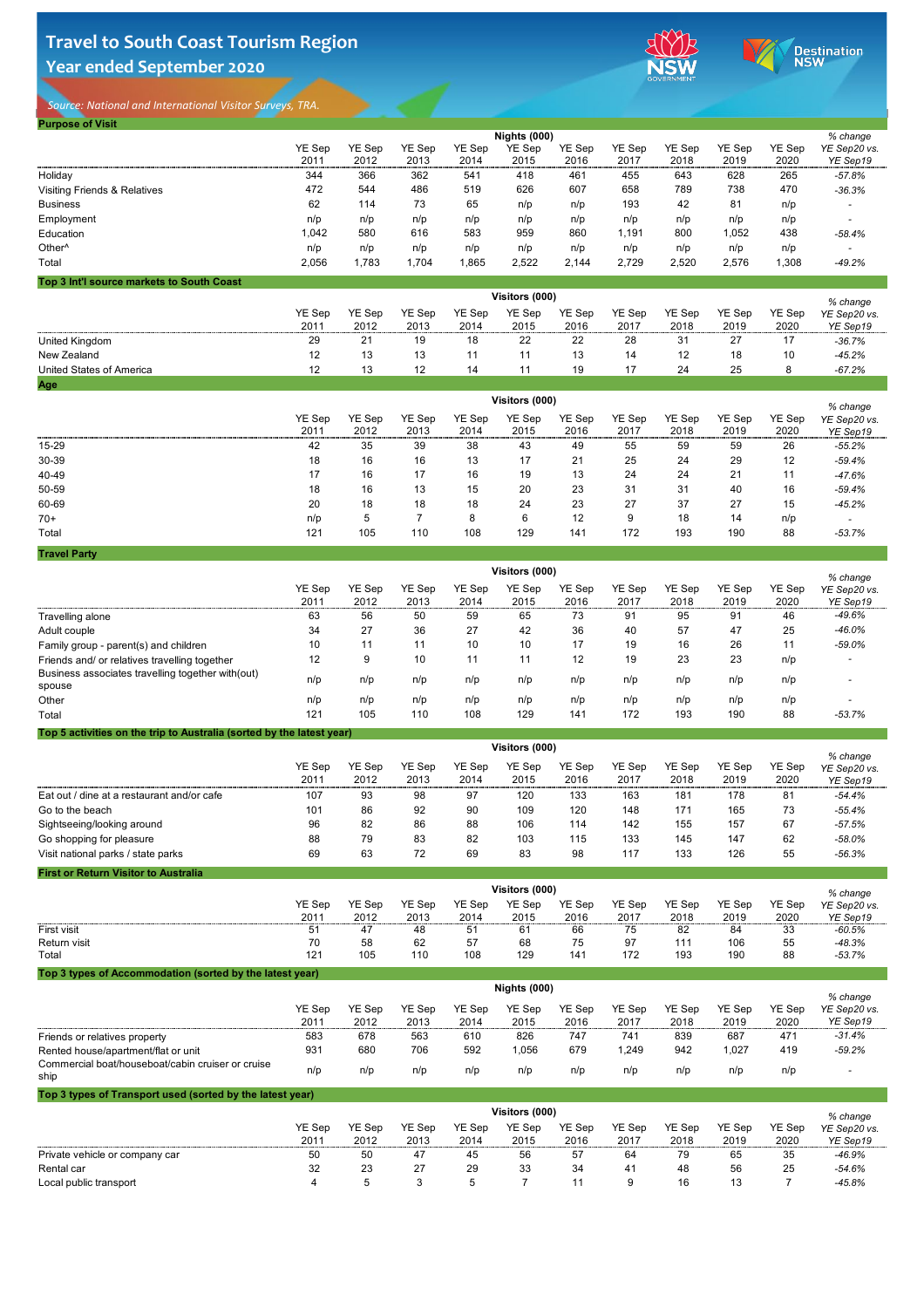# **Travel to South Coast Tourism Region Year ended September 2020**



Destination<br>NSW

*Source: National and International Visitor Surveys, TRA.* 

| <b>Purpose of Visit</b>                   |                       |               |               |               |                       |               |               |               |               |               |              |
|-------------------------------------------|-----------------------|---------------|---------------|---------------|-----------------------|---------------|---------------|---------------|---------------|---------------|--------------|
|                                           |                       |               |               |               | <b>Nights (000)</b>   |               |               |               |               |               | % change     |
|                                           | <b>YE Sep</b>         | <b>YE Sep</b> | <b>YE Sep</b> | <b>YE Sep</b> | <b>YE Sep</b>         | <b>YE Sep</b> | <b>YE Sep</b> | <b>YE Sep</b> | <b>YE Sep</b> | YE Sep        | YE Sep20 vs. |
|                                           | 2011                  | 2012          | 2013          | 2014          | 2015                  | 2016          | 2017          | 2018          | 2019          | 2020          | YE Sep19     |
| Holiday                                   | 344                   | 366           | 362           | 541           | 418                   | 461           | 455           | 643           | 628           | 265           | $-57.8%$     |
| <b>Visiting Friends &amp; Relatives</b>   | 472                   | 544           | 486           | 519           | 626                   | 607           | 658           | 789           | 738           | 470           | $-36.3%$     |
| <b>Business</b>                           | 62                    | 114           | 73            | 65            | n/p                   | n/p           | 193           | 42            | 81            | n/p           |              |
| Employment                                | n/p                   | n/p           | n/p           | n/p           | n/p                   | n/p           | n/p           | n/p           | n/p           | n/p           |              |
| <b>Education</b>                          | 1,042                 | 580           | 616           | 583           | 959                   | 860           | 1,191         | 800           | 1,052         | 438           | $-58.4%$     |
| Other <sup>^</sup>                        | n/p                   | n/p           | n/p           | n/p           | n/p                   | n/p           | n/p           | n/p           | n/p           | n/p           |              |
| Total                                     | 2,056                 | 1,783         | 1,704         | 1,865         | 2,522                 | 2,144         | 2,729         | 2,520         | 2,576         | 1,308         | $-49.2%$     |
| Top 3 Int'l source markets to South Coast |                       |               |               |               |                       |               |               |               |               |               |              |
|                                           |                       |               |               |               | <b>Visitors (000)</b> |               |               |               |               |               | % change     |
|                                           | <b>YE Sep</b>         | <b>YE Sep</b> | <b>YE Sep</b> | <b>YE Sep</b> | <b>YE Sep</b>         | <b>YE Sep</b> | <b>YE Sep</b> | <b>YE Sep</b> | <b>YE Sep</b> | <b>YE Sep</b> | YE Sep20 vs. |
|                                           | 2011                  | 2012          | 2013          | 2014          | 2015                  | 2016          | 2017          | 2018          | 2019          | 2020          | YE Sep19     |
| <b>United Kingdom</b>                     | 29                    | 21            | 19            | 18            | 22                    | 22            | 28            | 31            | 27            | 17            | $-36.7%$     |
| <b>New Zealand</b>                        | 12                    | 13            | 13            | 11            | 11                    | 13            | 14            | 12            | 18            | 10            | $-45.2%$     |
| <b>United States of America</b>           | 12                    | 13            | 12            | 14            | 11                    | 19            | 17            | 24            | 25            | 8             | $-67.2%$     |
| <b>Age</b>                                |                       |               |               |               |                       |               |               |               |               |               |              |
|                                           | <b>Visitors (000)</b> |               |               |               |                       |               |               |               |               |               |              |

|              | <b>YE Sep</b><br>2011 | YE Sep<br>2012 | <b>YE Sep</b><br>2013 | <b>YE Sep</b><br>2014 | <b>YE Sep</b><br>2015 | <b>YE Sep</b><br>2016 | <b>YE Sep</b><br>2017 | <b>YE Sep</b><br>2018 | <b>YE Sep</b><br>2019 | <b>YE Sep</b><br>2020 | 70 GHANG<br>YE Sep20 vs.<br>YE Sep19 |  |
|--------------|-----------------------|----------------|-----------------------|-----------------------|-----------------------|-----------------------|-----------------------|-----------------------|-----------------------|-----------------------|--------------------------------------|--|
| $15 - 29$    | 42                    | 35             | 39                    | 38                    | 43                    | 49                    | 55                    | 59                    | 59                    | 26                    | $-55.2%$                             |  |
| 30-39        | 18                    | 16             | 16                    | 13                    | 17                    | 21                    | 25                    | 24                    | 29                    | 12                    | $-59.4%$                             |  |
| 40-49        | 17                    | 16             | 17                    | 16                    | 19                    | 13                    | 24                    | 24                    | 21                    | 11                    | $-47.6%$                             |  |
| 50-59        | 18                    | 16             | 13                    | 15                    | 20                    | 23                    | 31                    | 31                    | 40                    | 16                    | -59.4%                               |  |
| 60-69        | 20                    | 18             | 18                    | 18                    | 24                    | 23                    | 27                    | 37                    | 27                    | 15                    | $-45.2%$                             |  |
| $70+$        | n/p                   |                |                       | 8                     | 6                     | 12                    | 9                     | 18                    | 14                    | n/p                   | $\overline{\phantom{0}}$             |  |
| <b>Total</b> | 121                   | 105            | 110                   | 108                   | 129                   | 141                   | 172                   | 193                   | 190                   | 88                    | $-53.7\%$                            |  |
|              |                       |                |                       |                       |                       |                       |                       |                       |                       |                       |                                      |  |

**First or Return Visitor to Australia**

|                                                                       | <b>Visitors (000)</b> |                       |                       |                       |                       |                       |                       |                       |                       |                       |                                      |  |
|-----------------------------------------------------------------------|-----------------------|-----------------------|-----------------------|-----------------------|-----------------------|-----------------------|-----------------------|-----------------------|-----------------------|-----------------------|--------------------------------------|--|
|                                                                       | <b>YE Sep</b><br>2011 | <b>YE Sep</b><br>2012 | <b>YE Sep</b><br>2013 | <b>YE Sep</b><br>2014 | <b>YE Sep</b><br>2015 | <b>YE Sep</b><br>2016 | <b>YE Sep</b><br>2017 | <b>YE Sep</b><br>2018 | <b>YE Sep</b><br>2019 | <b>YE Sep</b><br>2020 | % change<br>YE Sep20 vs.<br>YE Sep19 |  |
| <b>Travelling alone</b>                                               | 63                    | 56                    | 50                    | 59                    | 65                    | 73                    | 91                    | 95                    | 91                    | 46                    | $-49.6%$                             |  |
| Adult couple                                                          | 34                    | 27                    | 36                    | 27                    | 42                    | 36                    | 40                    | 57                    | 47                    | 25                    | $-46.0%$                             |  |
| Family group - parent(s) and children                                 | 10                    | 11                    | 11                    | 10                    | 10                    | 17                    | 19                    | 16                    | 26                    | 11                    | $-59.0%$                             |  |
| Friends and/ or relatives travelling together                         | 12                    | 9                     | 10                    | 11                    | 11                    | 12                    | 19                    | 23                    | 23                    | n/p                   |                                      |  |
| Business associates travelling together with (out)<br>spouse          | n/p                   | n/p                   | n/p                   | n/p                   | n/p                   | n/p                   | n/p                   | n/p                   | n/p                   | n/p                   |                                      |  |
| Other                                                                 | n/p                   | n/p                   | n/p                   | n/p                   | n/p                   | n/p                   | n/p                   | n/p                   | n/p                   | n/p                   |                                      |  |
| <b>Total</b>                                                          | 121                   | 105                   | 110                   | 108                   | 129                   | 141                   | 172                   | 193                   | 190                   | 88                    | $-53.7%$                             |  |
| Top 5 activities on the trip to Australia (sorted by the latest year) |                       |                       |                       |                       |                       |                       |                       |                       |                       |                       |                                      |  |
|                                                                       |                       |                       |                       |                       | $\frac{1}{2}$         |                       |                       |                       |                       |                       |                                      |  |

### **Top 3 types of Accommodation (sorted by the latest year)**

|                                            | Visitors (000)        |                       |                       |                       |                       |                       |                       |                       |                       |                |                                      |  |
|--------------------------------------------|-----------------------|-----------------------|-----------------------|-----------------------|-----------------------|-----------------------|-----------------------|-----------------------|-----------------------|----------------|--------------------------------------|--|
|                                            | <b>YE Sep</b><br>2011 | <b>YE Sep</b><br>2012 | <b>YE Sep</b><br>2013 | <b>YE Sep</b><br>2014 | <b>YE Sep</b><br>2015 | <b>YE Sep</b><br>2016 | <b>YE Sep</b><br>2017 | <b>YE Sep</b><br>2018 | <b>YE Sep</b><br>2019 | YE Sep<br>2020 | % change<br>YE Sep20 vs.<br>YE Sep19 |  |
| Eat out / dine at a restaurant and/or cafe | 107                   | 93                    | 98                    | 97                    | 120                   | 133                   | 163                   | 181                   | 178                   | 81             | $-54.4%$                             |  |
| Go to the beach                            | 101                   | 86                    | 92                    | 90                    | 109                   | 120                   | 148                   | 171                   | 165                   | 73             | $-55.4%$                             |  |
| Sightseeing/looking around                 | 96                    | 82                    | 86                    | 88                    | 106                   | 114                   | 142                   | 155                   | 157                   | 67             | $-57.5%$                             |  |
| Go shopping for pleasure                   | 88                    | 79                    | 83                    | 82                    | 103                   | 115                   | 133                   | 145                   | 147                   | 62             | $-58.0%$                             |  |
| Visit national parks / state parks         | 69                    | 63                    | 72                    | 69                    | 83                    | 98                    | 117                   | 133                   | 126                   | 55             | $-56.3%$                             |  |

|                     |        |               | % change      |               |               |               |               |               |               |        |              |
|---------------------|--------|---------------|---------------|---------------|---------------|---------------|---------------|---------------|---------------|--------|--------------|
|                     | YE Sep | <b>YE Sep</b> | <b>YE Sep</b> | <b>YE Sep</b> | <b>YE Sep</b> | <b>YE Sep</b> | <b>YE Sep</b> | <b>YE Sep</b> | <b>YE Sep</b> | YE Sep | YE Sep20 vs. |
|                     | 2011   | 2012          | 2013          | 2014          | 2015          | 2016          | 2017          | 2018          | 2019          | 2020   | YE Sep19     |
| <b>First visit</b>  | 51     | 41            | 48            | 51            | 61            | 66            | 75            | 82            | 84            | 33     | $-60.5%$     |
| <b>Return visit</b> | 70     | 58            | 62            | 57            | 68            | 75            | 97            | 111           | 106           | 55     | $-48.3%$     |
| Total               | 121    | 105           | 110           | 108           | 129           | 141           | 172           | 193           | 190           | 88     | $-53.7%$     |

#### **Top 3 types of Transport used (sorted by the latest year)**

|                                                           | <b>YE Sep</b><br>2011 | <b>YE Sep</b><br>2012 | <b>YE Sep</b><br>2013 | <b>YE Sep</b><br>2014 | <b>YE Sep</b><br>2015 | <b>YE Sep</b><br>2016 | <b>YE Sep</b><br>2017 | <b>YE Sep</b><br>2018 | <b>YE Sep</b><br>2019 | <b>YE Sep</b><br>2020 | % change<br>YE Sep20 vs.<br>YE Sep19 |
|-----------------------------------------------------------|-----------------------|-----------------------|-----------------------|-----------------------|-----------------------|-----------------------|-----------------------|-----------------------|-----------------------|-----------------------|--------------------------------------|
| Friends or relatives property                             | 583                   | 678                   | 563                   | 610                   | 826                   | 747                   | 741                   | 839                   | 687                   | 471                   | $-31.4%$                             |
| Rented house/apartment/flat or unit                       | 931                   | 680                   | 706                   | 592                   | 1,056                 | 679                   | ,249                  | 942                   | 1,027                 | 419                   | $-59.2%$                             |
| Commercial boat/houseboat/cabin cruiser or cruise<br>ship | n/p                   | n/p                   | n/p                   | n/p                   | n/p                   | n/p                   | n/p                   | n/p                   | n/p                   | n/p                   |                                      |

|                                |        |               | % change      |               |               |        |               |               |               |               |              |
|--------------------------------|--------|---------------|---------------|---------------|---------------|--------|---------------|---------------|---------------|---------------|--------------|
|                                | YE Sep | <b>YE Sep</b> | <b>YE Sep</b> | <b>YE Sep</b> | <b>YE Sep</b> | YE Sep | <b>YE Sep</b> | <b>YE Sep</b> | <b>YE Sep</b> | <b>YE Sep</b> | YE Sep20 vs. |
|                                | 2011   | 2012          | 2013          | 2014          | 2015          | 2016   | 2017          | 2018          | 2019          | 2020          | YE Sep19     |
| Private vehicle or company car | 50     | 50            | 47            | 45            | 56            | 57     | 64            | 79            | 65            | 35            | $-46.9%$     |
| <b>Rental car</b>              | 32     | 23            | 27            | 29            | 33            | 34     | 41            | 48            | 56            | 25            | $-54.6%$     |
| Local public transport         |        |               |               |               |               |        |               | 16            |               |               | $-45.8%$     |